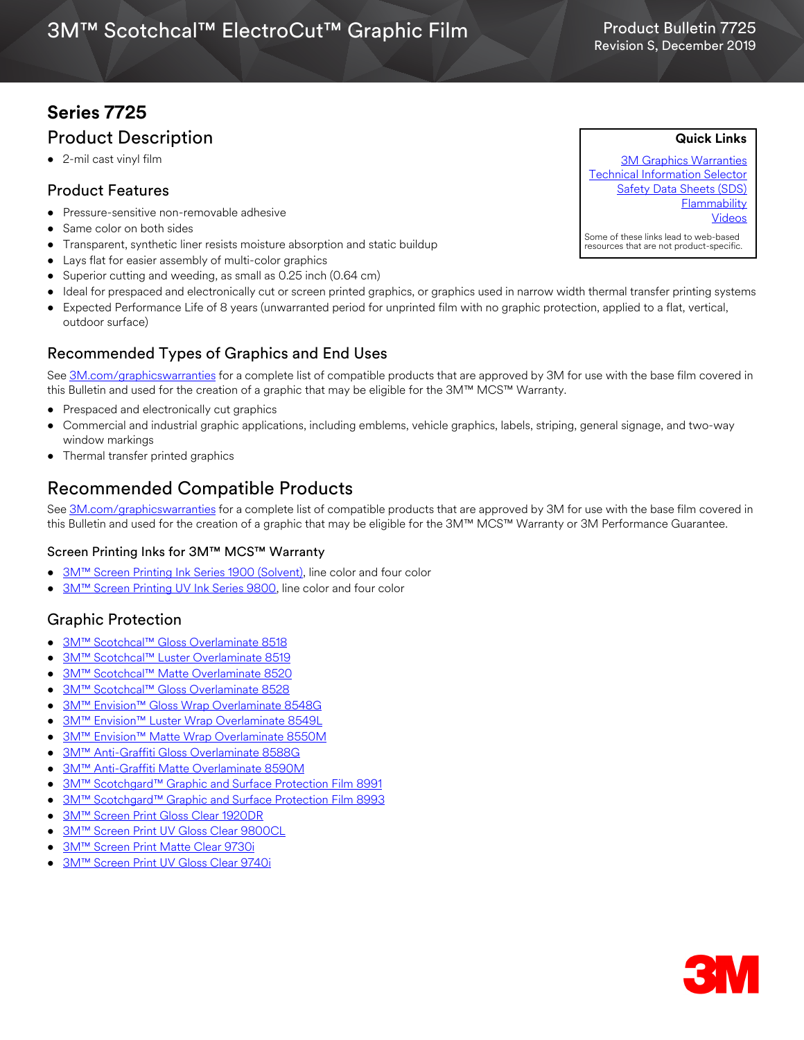# **Series 7725** Product Description

• 2-mil cast vinyl film

### Product Features

- Pressure-sensitive non-removable adhesive
- Same color on both sides
- Transparent, synthetic liner resists moisture absorption and static buildup
- Lays flat for easier assembly of multi-color graphics
- Superior cutting and weeding, as small as 0.25 inch (0.64 cm)
- Ideal for prespaced and electronically cut or screen printed graphics, or graphics used in narrow width thermal transfer printing systems
- Expected Performance Life of 8 years (unwarranted period for unprinted film with no graphic protection, applied to a flat, vertical, outdoor surface)

## Recommended Types of Graphics and End Uses

See [3M.com/graphicswarranties](http://solutions.3m.com/wps/portal/3M/en_US/Graphics/3Mgraphics/ToolsandSupport/Warranties/?WT.mc_id=www.3mgraphics.com/warranties) for a complete list of compatible products that are approved by 3M for use with the base film covered in this Bulletin and used for the creation of a graphic that may be eligible for the 3M™ MCS™ Warranty.

- Prespaced and electronically cut graphics
- Commercial and industrial graphic applications, including emblems, vehicle graphics, labels, striping, general signage, and two-way window markings
- Thermal transfer printed graphics

# Recommended Compatible Products

See [3M.com/graphicswarranties](www.3m.com/graphicswarranties) for a complete list of compatible products that are approved by 3M for use with the base film covered in this Bulletin and used for the creation of a graphic that may be eligible for the 3M™ MCS™ Warranty or 3M Performance Guarantee.

### Screen Printing Inks for 3M™ MCS™ Warranty

- [3M™ Screen Printing Ink Series 1900 \(Solvent\),](http://multimedia.3m.com/mws/media/12348O/1900-solvent-screen-print-ink-line-and-four-color-clears.pdf) line color and four color
- [3M™ Screen Printing UV Ink Series 9800](http://multimedia.3m.com/mws/media/381379O/9800-uv-screen-print-ink-line-and-four-color-clears.pdf), line color and four color

## Graphic Protection

- [3M™ Scotchcal™ Gloss Overlaminate 8518](http://multimedia.3m.com/mws/media/1095387O/3m-scotchcal-overlaminate-product-bulletin.pdf)
- [3M™ Scotchcal™ Luster Overlaminate 8519](http://multimedia.3m.com/mws/media/1095387O/3m-scotchcal-overlaminate-product-bulletin.pdf)
- [3M™ Scotchcal™ Matte Overlaminate 8520](http://multimedia.3m.com/mws/media/1095387O/3m-scotchcal-overlaminate-product-bulletin.pdf)
- [3M™ Scotchcal™ Gloss Overlaminate 8528](http://multimedia.3m.com/mws/media/558531O/product-bulletin-gp-1.pdf)
- [3M™ Envision™ Gloss Wrap Overlaminate 8548G](http://multimedia.3m.com/mws/media/558531O/product-bulletin-gp-1.pdf)
- **[3M™ Envision™ Luster Wrap Overlaminate 8549L](http://multimedia.3m.com/mws/media/558531O/product-bulletin-gp-1.pdf)**
- [3M™ Envision™ Matte Wrap Overlaminate 8550M](http://multimedia.3m.com/mws/media/558531O/product-bulletin-gp-1.pdf)
- 3M™ Anti-Graffiti Gloss Overlaminate 8588G
- 3M™ Anti-Graffiti Matte Overlaminate 8590M
- [3M™ Scotchgard™ Graphic and Surface Protection Film 8991](http://multimedia.3m.com/mws/media/1095384O/scotchgard-graphic-and-surface-protection-film-8991-8991r-8993.pdf)
- [3M™ Scotchgard™ Graphic and Surface Protection Film 8993](http://multimedia.3m.com/mws/media/1095384O/scotchgard-graphic-and-surface-protection-film-8991-8991r-8993.pdf)
- 3M™ Screen Print Gloss Clear 1920DR
- [3M™ Screen Print UV Gloss Clear 9800CL](http://multimedia.3m.com/mws/media/381379O/9800-uv-screen-print-ink-line-and-four-color-clears.pdf)
- [3M™ Screen Print Matte Clear 9730i](http://multimedia.3m.com/mws/media/1365986O/product-bulletin-9730i.pdf)
- [3M™ Screen Print UV Gloss Clear 9740i](http://multimedia.3m.com/mws/media/788729O/uv-clear-inkjet-and-screen-print.pdf)



**Quick Links**

[3M Graphics Warranties](http://solutions.3m.com/wps/portal/3M/en_US/Graphics/3Mgraphics/ToolsandSupport/Warranties/?WT.mc_id=www.3mgraphics.com/warranties) [Technical Information Selector](http://solutions.3m.com/wps/portal/3M/en_US/Graphics/3Mgraphics/ToolsAndSupport/TechnicalInformation/) [Safety Data Sheets \(SDS\)](http://solutions.3m.com/wps/portal/3M/en_WW/MSDS/Search?gsaAction=msdsSRA) **[Flammability](#page-1-0)** [Videos](http://solutions.3m.com/wps/portal/3M/en_US/Graphics/3Mgraphics/ToolsAndSupport/Videos/)

Product Bulletin 7725

Some of these links lead to web-based resources that are not product-specific.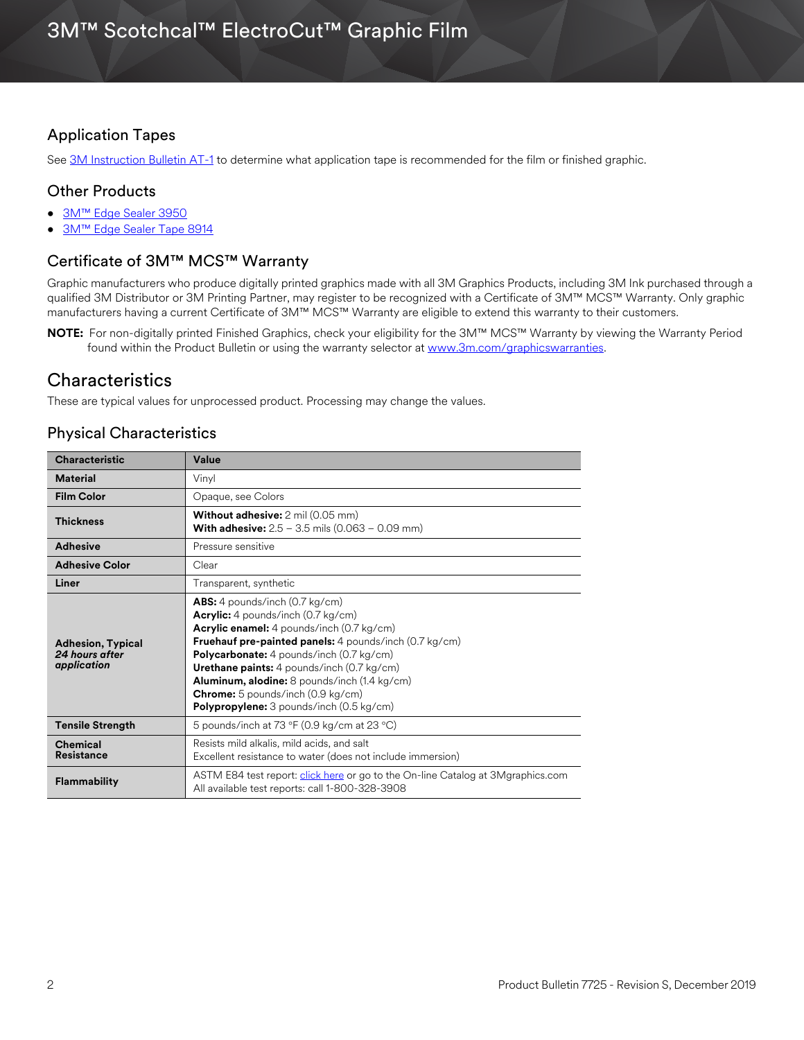### <span id="page-1-0"></span>Application Tapes

See [3M Instruction Bulletin AT-1](http://multimedia.3m.com/mws/media/1032943O/instruction-bulletin-at-1-application-tables.pdf) to determine what application tape is recommended for the film or finished graphic.

### Other Products

- [3M™ Edge Sealer 3950](http://multimedia.3m.com/mws/media/114158O/edge-sealer-3950-4150s-and-edge-sealer-tape-8914.pdf)
- [3M™ Edge Sealer Tape 8914](https://multimedia.3m.com/mws/media/114158O/edge-sealer-3950-4150s-and-edge-sealer-tape-8914.pdf)

### Certificate of 3M™ MCS™ Warranty

Graphic manufacturers who produce digitally printed graphics made with all 3M Graphics Products, including 3M Ink purchased through a qualified 3M Distributor or 3M Printing Partner, may register to be recognized with a Certificate of 3M™ MCS™ Warranty. Only graphic manufacturers having a current Certificate of 3M™ MCS™ Warranty are eligible to extend this warranty to their customers.

**NOTE:** For non-digitally printed Finished Graphics, check your eligibility for the 3M™ MCS™ Warranty by viewing the Warranty Period found within the Product Bulletin or using the warranty selector at [www.3m.com/graphicswarranties.](www.3m.com/graphicswarranties)

### **Characteristics**

These are typical values for unprocessed product. Processing may change the values.

### Physical Characteristics

| <b>Characteristic</b>                                     | Value                                                                                                                                                                                                                                                                                                                                                                                                                                                      |  |  |
|-----------------------------------------------------------|------------------------------------------------------------------------------------------------------------------------------------------------------------------------------------------------------------------------------------------------------------------------------------------------------------------------------------------------------------------------------------------------------------------------------------------------------------|--|--|
| <b>Material</b>                                           | Vinyl                                                                                                                                                                                                                                                                                                                                                                                                                                                      |  |  |
| <b>Film Color</b>                                         | Opaque, see Colors                                                                                                                                                                                                                                                                                                                                                                                                                                         |  |  |
| <b>Thickness</b>                                          | <b>Without adhesive:</b> 2 mil (0.05 mm)<br><b>With adhesive:</b> $2.5 - 3.5$ mils (0.063 - 0.09 mm)                                                                                                                                                                                                                                                                                                                                                       |  |  |
| <b>Adhesive</b>                                           | Pressure sensitive                                                                                                                                                                                                                                                                                                                                                                                                                                         |  |  |
| <b>Adhesive Color</b>                                     | Clear                                                                                                                                                                                                                                                                                                                                                                                                                                                      |  |  |
| Liner                                                     | Transparent, synthetic                                                                                                                                                                                                                                                                                                                                                                                                                                     |  |  |
| <b>Adhesion, Typical</b><br>24 hours after<br>application | <b>ABS:</b> 4 pounds/inch $(0.7 \text{ kg/cm})$<br><b>Acrylic:</b> 4 pounds/inch (0.7 kg/cm)<br>Acrylic enamel: 4 pounds/inch (0.7 kg/cm)<br>Fruehauf pre-painted panels: 4 pounds/inch (0.7 kg/cm)<br><b>Polycarbonate:</b> 4 pounds/inch (0.7 kg/cm)<br>Urethane paints: 4 pounds/inch (0.7 kg/cm)<br><b>Aluminum, alodine:</b> 8 pounds/inch (1.4 kg/cm)<br><b>Chrome:</b> 5 pounds/inch (0.9 kg/cm)<br><b>Polypropylene:</b> 3 pounds/inch (0.5 kg/cm) |  |  |
| <b>Tensile Strength</b>                                   | 5 pounds/inch at 73 $\degree$ F (0.9 kg/cm at 23 $\degree$ C)                                                                                                                                                                                                                                                                                                                                                                                              |  |  |
| <b>Chemical</b><br><b>Resistance</b>                      | Resists mild alkalis, mild acids, and salt<br>Excellent resistance to water (does not include immersion)                                                                                                                                                                                                                                                                                                                                                   |  |  |
| <b>Flammability</b>                                       | ASTM E84 test report: click here or go to the On-line Catalog at 3Mgraphics.com<br>All available test reports: call 1-800-328-3908                                                                                                                                                                                                                                                                                                                         |  |  |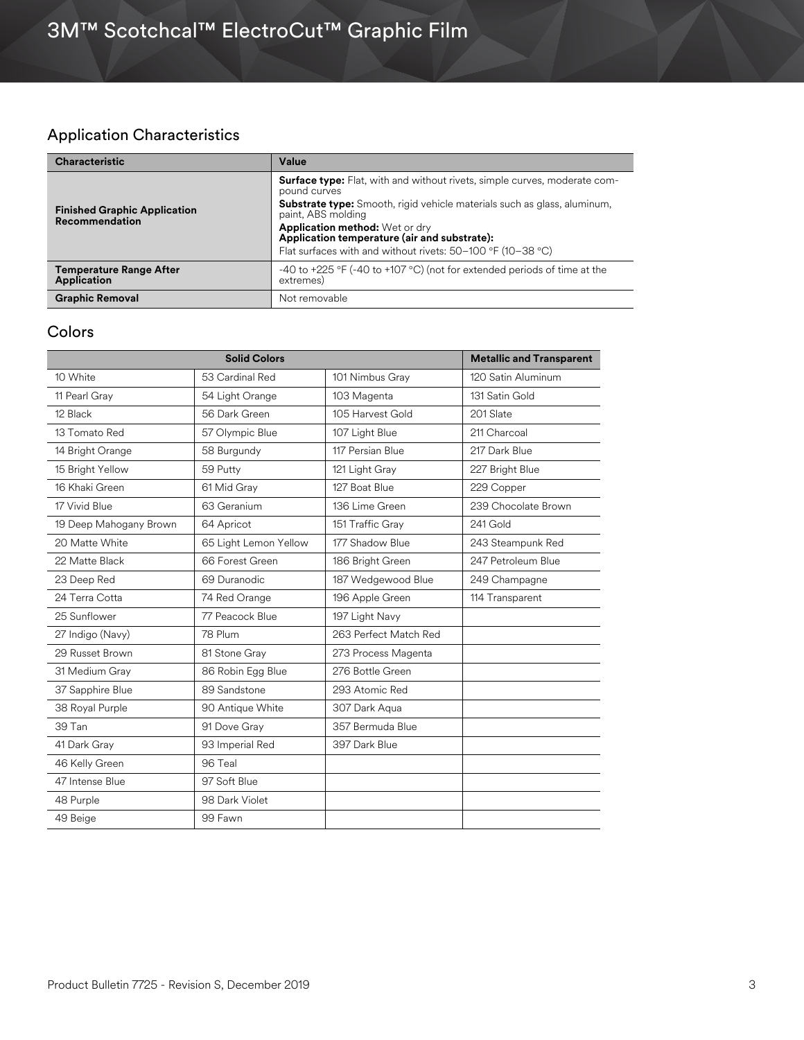# Application Characteristics

| <b>Characteristic</b>                                        | Value                                                                                                                                                                                                                                                                                                                                                             |  |
|--------------------------------------------------------------|-------------------------------------------------------------------------------------------------------------------------------------------------------------------------------------------------------------------------------------------------------------------------------------------------------------------------------------------------------------------|--|
| <b>Finished Graphic Application</b><br><b>Recommendation</b> | <b>Surface type:</b> Flat, with and without rivets, simple curves, moderate com-<br>pound curves<br><b>Substrate type:</b> Smooth, rigid vehicle materials such as glass, aluminum,<br>paint, ABS molding<br><b>Application method:</b> Wet or dry<br>Application temperature (air and substrate):<br>Flat surfaces with and without rivets: 50-100 °F (10-38 °C) |  |
| <b>Temperature Range After</b><br><b>Application</b>         | -40 to +225 °F (-40 to +107 °C) (not for extended periods of time at the<br>extremes)                                                                                                                                                                                                                                                                             |  |
| <b>Graphic Removal</b>                                       | Not removable                                                                                                                                                                                                                                                                                                                                                     |  |

### Colors

| <b>Solid Colors</b>    |                       |                       | <b>Metallic and Transparent</b> |
|------------------------|-----------------------|-----------------------|---------------------------------|
| 10 White               | 53 Cardinal Red       | 101 Nimbus Gray       | 120 Satin Aluminum              |
| 11 Pearl Gray          | 54 Light Orange       | 103 Magenta           | 131 Satin Gold                  |
| 12 Black               | 56 Dark Green         | 105 Harvest Gold      | 201 Slate                       |
| 13 Tomato Red          | 57 Olympic Blue       | 107 Light Blue        | 211 Charcoal                    |
| 14 Bright Orange       | 58 Burgundy           | 117 Persian Blue      | 217 Dark Blue                   |
| 15 Bright Yellow       | 59 Putty              | 121 Light Gray        | 227 Bright Blue                 |
| 16 Khaki Green         | 61 Mid Gray           | 127 Boat Blue         | 229 Copper                      |
| 17 Vivid Blue          | 63 Geranium           | 136 Lime Green        | 239 Chocolate Brown             |
| 19 Deep Mahogany Brown | 64 Apricot            | 151 Traffic Gray      | 241 Gold                        |
| 20 Matte White         | 65 Light Lemon Yellow | 177 Shadow Blue       | 243 Steampunk Red               |
| 22 Matte Black         | 66 Forest Green       | 186 Bright Green      | 247 Petroleum Blue              |
| 23 Deep Red            | 69 Duranodic          | 187 Wedgewood Blue    | 249 Champagne                   |
| 24 Terra Cotta         | 74 Red Orange         | 196 Apple Green       | 114 Transparent                 |
| 25 Sunflower           | 77 Peacock Blue       | 197 Light Navy        |                                 |
| 27 Indigo (Navy)       | 78 Plum               | 263 Perfect Match Red |                                 |
| 29 Russet Brown        | 81 Stone Gray         | 273 Process Magenta   |                                 |
| 31 Medium Gray         | 86 Robin Egg Blue     | 276 Bottle Green      |                                 |
| 37 Sapphire Blue       | 89 Sandstone          | 293 Atomic Red        |                                 |
| 38 Royal Purple        | 90 Antique White      | 307 Dark Aqua         |                                 |
| 39 Tan                 | 91 Dove Gray          | 357 Bermuda Blue      |                                 |
| 41 Dark Gray           | 93 Imperial Red       | 397 Dark Blue         |                                 |
| 46 Kelly Green         | 96 Teal               |                       |                                 |
| 47 Intense Blue        | 97 Soft Blue          |                       |                                 |
| 48 Purple              | 98 Dark Violet        |                       |                                 |
| 49 Beige               | 99 Fawn               |                       |                                 |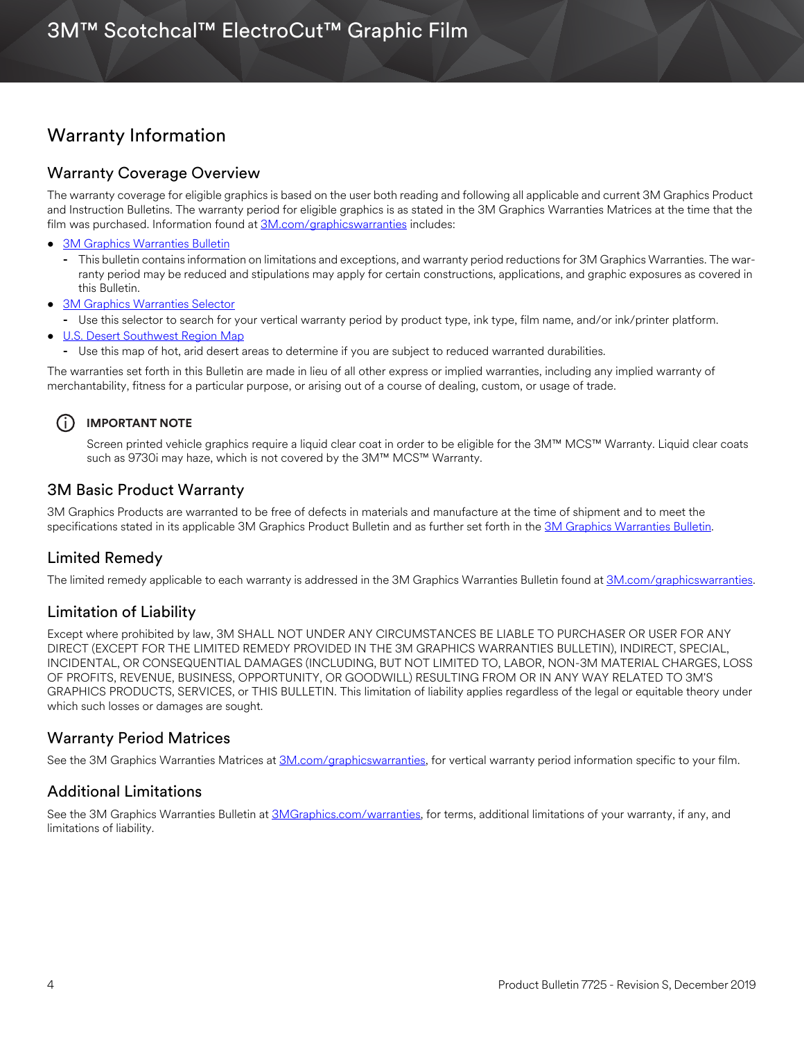## Warranty Information

#### Warranty Coverage Overview

The warranty coverage for eligible graphics is based on the user both reading and following all applicable and current 3M Graphics Product and Instruction Bulletins. The warranty period for eligible graphics is as stated in the 3M Graphics Warranties Matrices at the time that the film was purchased. Information found at [3M.com/graphicswarranties](www.3m.com/graphicswarranties) includes:

- [3M Graphics Warranties Bulletin](http://multimedia.3m.com/mws/media/1034875O/3mtm-graphics-warranty-bulletin.pdf?fn=Warranty_Bulletin.pdf)
	- **-** This bulletin contains information on limitations and exceptions, and warranty period reductions for 3M Graphics Warranties. The warranty period may be reduced and stipulations may apply for certain constructions, applications, and graphic exposures as covered in this Bulletin.
- [3M Graphics Warranties Selector](http://solutions.3m.com/wps/portal/3M/en_US/Graphics/3Mgraphics/ToolsAndSupport/Warranties/?PC_Z7_RJH9U5230GE3E02LECFTDQ02P3000000_assetType=MMM_Article&PC_Z7_RJH9U5230GE3E02LECFTDQ02P3000000_assetId=1114269959113&PC_Z7_RJH9U5230GE3E02LECFTDQ02P3000000_univid=1114269959113#Z7_RJH9U5230GE3E02LECFTDQ02P3)
- **-** Use this selector to search for your vertical warranty period by product type, ink type, film name, and/or ink/printer platform.
- [U.S. Desert Southwest Region Map](http://multimedia.3m.com/mws/media/307873O/desert-southwest-region-defined.pdf?fn=Map_DSW.pdf)
	- **-** Use this map of hot, arid desert areas to determine if you are subject to reduced warranted durabilities.

The warranties set forth in this Bulletin are made in lieu of all other express or implied warranties, including any implied warranty of merchantability, fitness for a particular purpose, or arising out of a course of dealing, custom, or usage of trade.

### i **IMPORTANT NOTE**

Screen printed vehicle graphics require a liquid clear coat in order to be eligible for the 3M™ MCS™ Warranty. Liquid clear coats such as 9730i may haze, which is not covered by the 3M™ MCS™ Warranty.

### 3M Basic Product Warranty

3M Graphics Products are warranted to be free of defects in materials and manufacture at the time of shipment and to meet the specifications stated in its applicable 3M Graphics Product Bulletin and as further set forth in the [3M Graphics Warranties Bulletin.](http://multimedia.3m.com/mws/media/1034875O/3mtm-graphics-warranty-bulletin.pdf?fn=Warranty%20Bulletin.pdf)

### Limited Remedy

The limited remedy applicable to each warranty is addressed in the 3M Graphics Warranties Bulletin found at [3M.com/graphicswarranties](www.3m.com/graphicswarranties).

### Limitation of Liability

Except where prohibited by law, 3M SHALL NOT UNDER ANY CIRCUMSTANCES BE LIABLE TO PURCHASER OR USER FOR ANY DIRECT (EXCEPT FOR THE LIMITED REMEDY PROVIDED IN THE 3M GRAPHICS WARRANTIES BULLETIN), INDIRECT, SPECIAL, INCIDENTAL, OR CONSEQUENTIAL DAMAGES (INCLUDING, BUT NOT LIMITED TO, LABOR, NON-3M MATERIAL CHARGES, LOSS OF PROFITS, REVENUE, BUSINESS, OPPORTUNITY, OR GOODWILL) RESULTING FROM OR IN ANY WAY RELATED TO 3M'S GRAPHICS PRODUCTS, SERVICES, or THIS BULLETIN. This limitation of liability applies regardless of the legal or equitable theory under which such losses or damages are sought.

### Warranty Period Matrices

See the 3M Graphics Warranties Matrices at [3M.com/graphicswarranties](www.3m.com/graphicswarranties), for vertical warranty period information specific to your film.

### Additional Limitations

See the 3M Graphics Warranties Bulletin at [3MGraphics.com/warranties](http://solutions.3m.com/wps/portal/3M/en_US/Graphics/3Mgraphics/ToolsandSupport/Warranties/?WT.mc_id=www.3mgraphics.com/warranties), for terms, additional limitations of your warranty, if any, and limitations of liability.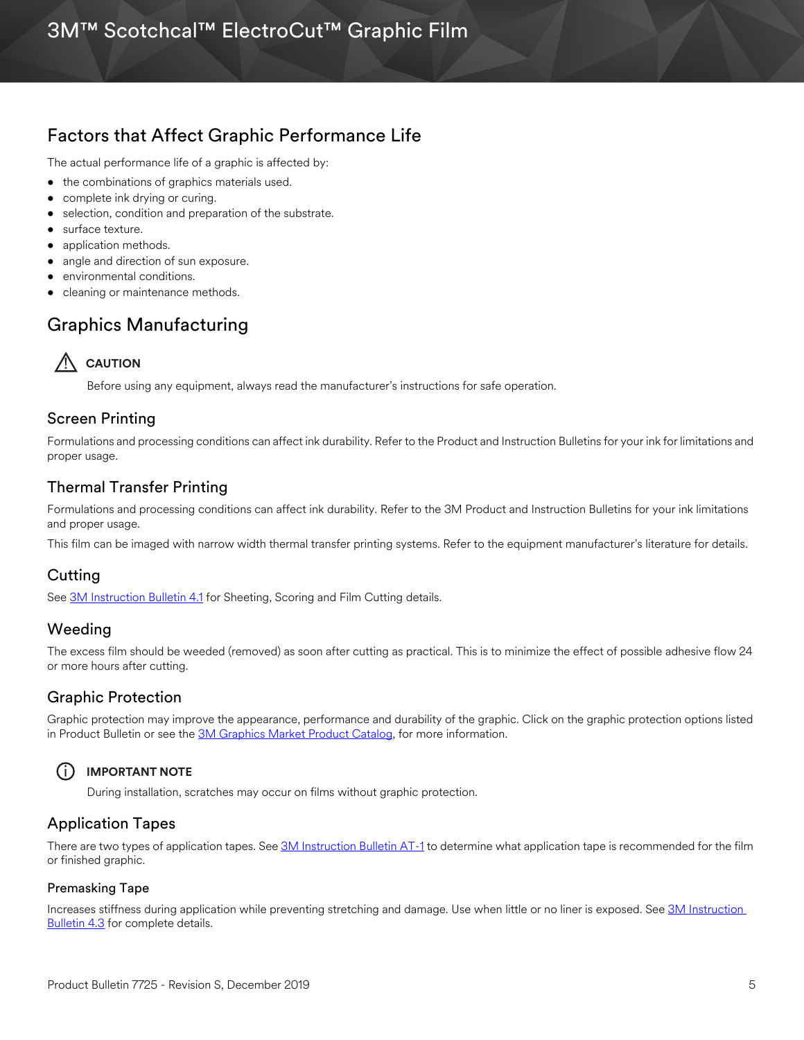# 3M™ Scotchcal™ ElectroCut™ Graphic Film

### Factors that Affect Graphic Performance Life

The actual performance life of a graphic is affected by:

- the combinations of graphics materials used.
- complete ink drying or curing.
- selection, condition and preparation of the substrate.
- surface texture.
- application methods.
- angle and direction of sun exposure.
- environmental conditions.
- cleaning or maintenance methods.

## Graphics Manufacturing



Before using any equipment, always read the manufacturer's instructions for safe operation.

### Screen Printing

Formulations and processing conditions can affect ink durability. Refer to the Product and Instruction Bulletins for your ink for limitations and proper usage.

### Thermal Transfer Printing

Formulations and processing conditions can affect ink durability. Refer to the 3M Product and Instruction Bulletins for your ink limitations and proper usage.

This film can be imaged with narrow width thermal transfer printing systems. Refer to the equipment manufacturer's literature for details.

### Cutting

See [3M Instruction Bulletin 4.1](http://multimedia.3m.com/mws/media/12586O/4-1-scoring-and-cutting.pdf) for Sheeting, Scoring and Film Cutting details.

### Weeding

The excess film should be weeded (removed) as soon after cutting as practical. This is to minimize the effect of possible adhesive flow 24 or more hours after cutting.

### Graphic Protection

Graphic protection may improve the appearance, performance and durability of the graphic. Click on the graphic protection options listed in Product Bulletin or see the [3M Graphics Market Product Catalog](http://multimedia.3m.com/mws/media/443279O/inkjet-catalog-lowres.pdf), for more information.

### i **IMPORTANT NOTE**

During installation, scratches may occur on films without graphic protection.

### Application Tapes

There are two types of application tapes. See [3M Instruction Bulletin AT-1](http://multimedia.3m.com/mws/media/1032943O/instruction-bulletin-at-1-application-tables.pdf) to determine what application tape is recommended for the film or finished graphic.

#### Premasking Tape

Increases stiffness during application while preventing stretching and damage. Use when little or no liner is exposed. See 3M Instruction **Bulletin 4.3** for complete details.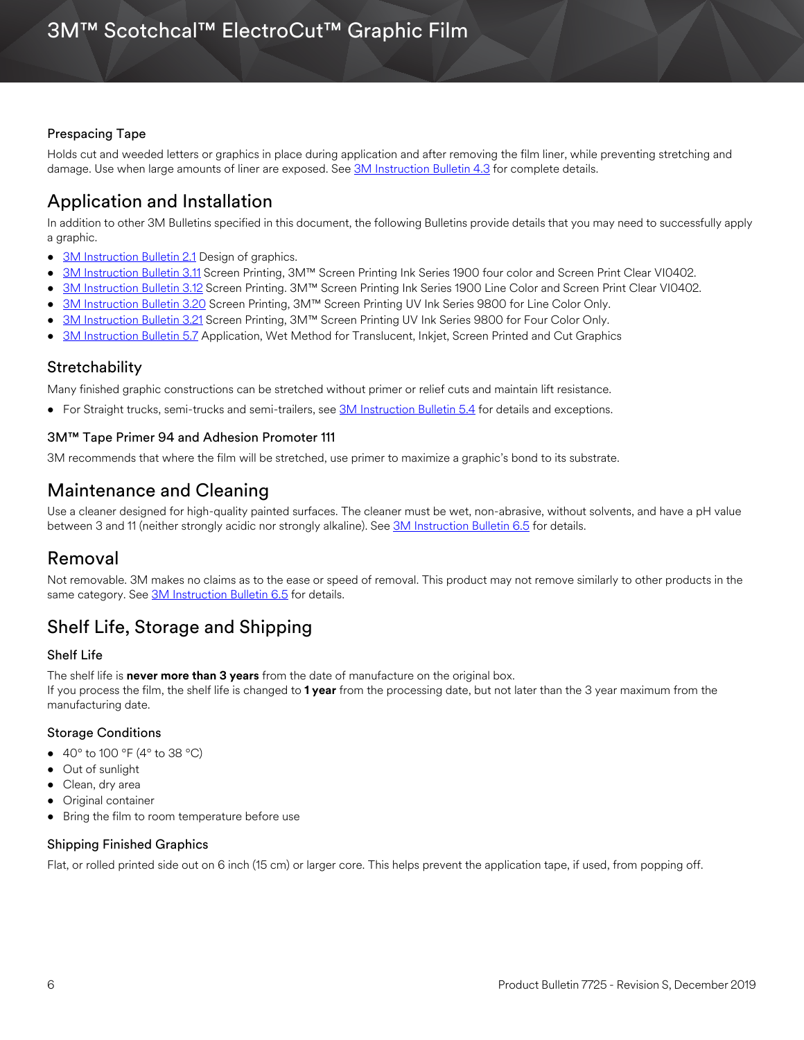#### Prespacing Tape

Holds cut and weeded letters or graphics in place during application and after removing the film liner, while preventing stretching and damage. Use when large amounts of liner are exposed. See [3M Instruction Bulletin 4.3](http://multimedia.3m.com/mws/media/12587O/4-3-application-tapes-premasking-and-prespacing.pdf) for complete details.

# Application and Installation

In addition to other 3M Bulletins specified in this document, the following Bulletins provide details that you may need to successfully apply a graphic.

- [3M Instruction Bulletin 2.1](http://multimedia.3m.com/mws/media/12591O/2-1-design-of-graphics.pdf) Design of graphics.
- [3M Instruction Bulletin 3.11](http://multimedia.3m.com/mws/media/12713O/3-11-screen-printing-with-ink-series-1900-four-color.pdf) Screen Printing, 3M™ Screen Printing Ink Series 1900 four color and Screen Print Clear VI0402.
- [3M Instruction Bulletin 3.12](http://multimedia.3m.com/mws/media/12714O/3-12-screen-printing-with-ink-series-1900-line-color.pdf) Screen Printing. 3M™ Screen Printing Ink Series 1900 Line Color and Screen Print Clear VI0402.
- [3M Instruction Bulletin 3.20](http://multimedia.3m.com/mws/media/381380O/3-20-screen-printing-with-ink-series-9800-line-color.pdf) Screen Printing, 3M™ Screen Printing UV Ink Series 9800 for Line Color Only.
- [3M Instruction Bulletin 3.21](http://multimedia.3m.com/mws/media/411615O/3-21-screen-printing-with-ink-series-9800-four-color.pdf) Screen Printing, 3M™ Screen Printing UV Ink Series 9800 for Four Color Only.
- [3M Instruction Bulletin 5.7](http://multimedia.3m.com/mws/media/9621O/instruction-bulletin-5-7.pdf) Application, Wet Method for Translucent, Inkjet, Screen Printed and Cut Graphics

#### **Stretchability**

Many finished graphic constructions can be stretched without primer or relief cuts and maintain lift resistance.

• For Straight trucks, semi-trucks and semi-trailers, see [3M Instruction Bulletin 5.4](http://multimedia.3m.com/mws/media/12597O/5-4-application-of-film-to-vehicles-special-applications.pdf) for details and exceptions.

#### 3M™ Tape Primer 94 and Adhesion Promoter 111

3M recommends that where the film will be stretched, use primer to maximize a graphic's bond to its substrate.

### Maintenance and Cleaning

Use a cleaner designed for high-quality painted surfaces. The cleaner must be wet, non-abrasive, without solvents, and have a pH value between 3 and 11 (neither strongly acidic nor strongly alkaline). See [3M Instruction Bulletin 6.5](http://multimedia.3m.com/mws/media/12593O/6-5-storage-handling-maintenance-removal-of-films-sheetings.pdf) for details.

### Removal

Not removable. 3M makes no claims as to the ease or speed of removal. This product may not remove similarly to other products in the same category. See [3M Instruction Bulletin 6.5](http://multimedia.3m.com/mws/media/12593O/6-5-storage-handling-maintenance-removal-of-films-sheetings.pdf) for details.

# Shelf Life, Storage and Shipping

#### Shelf Life

The shelf life is **never more than 3 years** from the date of manufacture on the original box.

If you process the film, the shelf life is changed to **1 year** from the processing date, but not later than the 3 year maximum from the manufacturing date.

#### Storage Conditions

- 40 $^{\circ}$  to 100  $^{\circ}$ F (4 $^{\circ}$  to 38  $^{\circ}$ C)
- Out of sunlight
- Clean, dry area
- Original container
- Bring the film to room temperature before use

#### Shipping Finished Graphics

Flat, or rolled printed side out on 6 inch (15 cm) or larger core. This helps prevent the application tape, if used, from popping off.